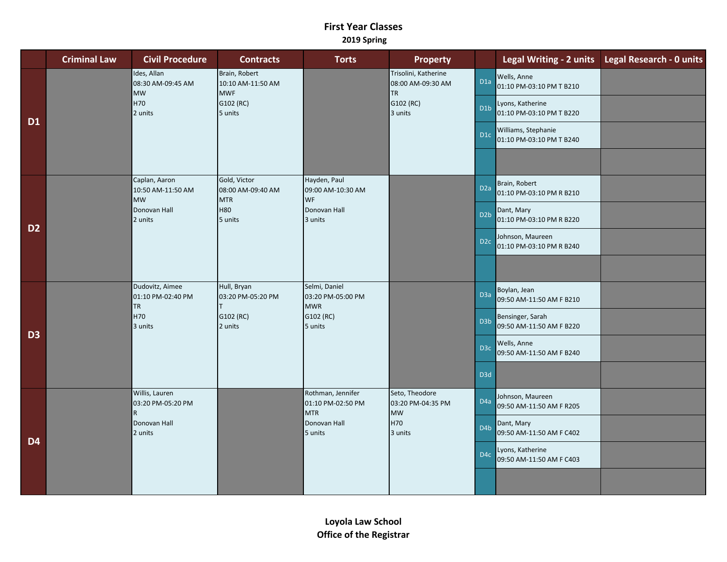## **First Year Classes 2019 Spring**

|                | <b>Criminal Law</b> | <b>Civil Procedure</b>                                                           | <b>Contracts</b>                                                         | <b>Torts</b>                                                                    | <b>Property</b>                                                                |                  | Legal Writing - 2 units                         | <b>Legal Research - 0 units</b> |
|----------------|---------------------|----------------------------------------------------------------------------------|--------------------------------------------------------------------------|---------------------------------------------------------------------------------|--------------------------------------------------------------------------------|------------------|-------------------------------------------------|---------------------------------|
| <b>D1</b>      |                     | Ides, Allan<br>08:30 AM-09:45 AM<br><b>MW</b><br>H70<br>2 units                  | Brain, Robert<br>10:10 AM-11:50 AM<br><b>MWF</b><br>G102 (RC)<br>5 units |                                                                                 | Trisolini, Katherine<br>08:00 AM-09:30 AM<br><b>TR</b><br>G102 (RC)<br>3 units | D <sub>1a</sub>  | Wells, Anne<br>01:10 PM-03:10 PM T B210         |                                 |
|                |                     |                                                                                  |                                                                          |                                                                                 |                                                                                | D <sub>1</sub> b | Lyons, Katherine<br>01:10 PM-03:10 PM T B220    |                                 |
|                |                     |                                                                                  |                                                                          |                                                                                 |                                                                                | D <sub>1</sub> c | Williams, Stephanie<br>01:10 PM-03:10 PM T B240 |                                 |
|                |                     |                                                                                  |                                                                          |                                                                                 |                                                                                |                  |                                                 |                                 |
| D <sub>2</sub> |                     | Caplan, Aaron<br>10:50 AM-11:50 AM<br><b>MW</b>                                  | Gold, Victor<br>08:00 AM-09:40 AM<br><b>MTR</b>                          | Hayden, Paul<br>09:00 AM-10:30 AM<br><b>WF</b>                                  |                                                                                | D <sub>2a</sub>  | Brain, Robert<br>01:10 PM-03:10 PM R B210       |                                 |
|                |                     | Donovan Hall<br>2 units                                                          | <b>H80</b><br>5 units                                                    | Donovan Hall<br>3 units                                                         |                                                                                | D <sub>2</sub> b | Dant, Mary<br>01:10 PM-03:10 PM R B220          |                                 |
|                |                     |                                                                                  |                                                                          |                                                                                 |                                                                                | D <sub>2c</sub>  | Johnson, Maureen<br>01:10 PM-03:10 PM R B240    |                                 |
|                |                     |                                                                                  |                                                                          |                                                                                 |                                                                                |                  |                                                 |                                 |
| D <sub>3</sub> |                     | Dudovitz, Aimee<br>01:10 PM-02:40 PM<br><b>TR</b>                                | Hull, Bryan<br>03:20 PM-05:20 PM                                         | Selmi, Daniel<br>03:20 PM-05:00 PM<br><b>MWR</b>                                |                                                                                | D <sub>3a</sub>  | Boylan, Jean<br>09:50 AM-11:50 AM F B210        |                                 |
|                |                     | H70<br>3 units                                                                   | G102 (RC)<br>2 units                                                     | G102 (RC)<br>5 units                                                            |                                                                                | D <sub>3</sub> b | Bensinger, Sarah<br>09:50 AM-11:50 AM F B220    |                                 |
|                |                     |                                                                                  |                                                                          |                                                                                 |                                                                                | D <sub>3c</sub>  | Wells, Anne<br>09:50 AM-11:50 AM F B240         |                                 |
|                |                     |                                                                                  |                                                                          |                                                                                 |                                                                                | D <sub>3d</sub>  |                                                 |                                 |
| D <sub>4</sub> |                     | Willis, Lauren<br>03:20 PM-05:20 PM<br>$\overline{R}$<br>Donovan Hall<br>2 units |                                                                          | Rothman, Jennifer<br>01:10 PM-02:50 PM<br><b>MTR</b><br>Donovan Hall<br>5 units | Seto, Theodore<br>03:20 PM-04:35 PM<br>MW<br>H70<br>3 units                    | D <sub>4a</sub>  | Johnson, Maureen<br>09:50 AM-11:50 AM F R205    |                                 |
|                |                     |                                                                                  |                                                                          |                                                                                 |                                                                                | D <sub>4</sub> b | Dant, Mary<br>09:50 AM-11:50 AM F C402          |                                 |
|                |                     |                                                                                  |                                                                          |                                                                                 |                                                                                | D <sub>4</sub> c | Lyons, Katherine<br>09:50 AM-11:50 AM F C403    |                                 |
|                |                     |                                                                                  |                                                                          |                                                                                 |                                                                                |                  |                                                 |                                 |